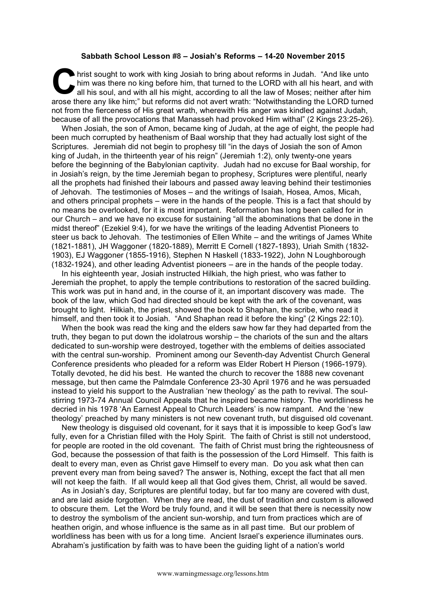## **Sabbath School Lesson #8 – Josiah's Reforms – 14-20 November 2015**

hrist sought to work with king Josiah to bring about reforms in Judah. "And like unto him was there no king before him, that turned to the LORD with all his heart, and with all his soul, and with all his might, according to all the law of Moses; neither after him arose there any like him;" but reforms did not avert wrath: "Notwithstanding the LORD turned not from the fierceness of His great wrath, wherewith His anger was kindled against Judah, because of all the provocations that Manasseh had provoked Him withal" (2 Kings 23:25-26). C hin

When Josiah, the son of Amon, became king of Judah, at the age of eight, the people had been much corrupted by heathenism of Baal worship that they had actually lost sight of the Scriptures. Jeremiah did not begin to prophesy till "in the days of Josiah the son of Amon king of Judah, in the thirteenth year of his reign" (Jeremiah 1:2), only twenty-one years before the beginning of the Babylonian captivity. Judah had no excuse for Baal worship, for in Josiah's reign, by the time Jeremiah began to prophesy, Scriptures were plentiful, nearly all the prophets had finished their labours and passed away leaving behind their testimonies of Jehovah. The testimonies of Moses – and the writings of Isaiah, Hosea, Amos, Micah, and others principal prophets – were in the hands of the people. This is a fact that should by no means be overlooked, for it is most important. Reformation has long been called for in our Church – and we have no excuse for sustaining "all the abominations that be done in the midst thereof" (Ezekiel 9:4), for we have the writings of the leading Adventist Pioneers to steer us back to Jehovah. The testimonies of Ellen White – and the writings of James White (1821-1881), JH Waggoner (1820-1889), Merritt E Cornell (1827-1893), Uriah Smith (1832- 1903), EJ Waggoner (1855-1916), Stephen N Haskell (1833-1922), John N Loughborough (1832-1924), and other leading Adventist pioneers – are in the hands of the people today.

In his eighteenth year, Josiah instructed Hilkiah, the high priest, who was father to Jeremiah the prophet, to apply the temple contributions to restoration of the sacred building. This work was put in hand and, in the course of it, an important discovery was made. The book of the law, which God had directed should be kept with the ark of the covenant, was brought to light. Hilkiah, the priest, showed the book to Shaphan, the scribe, who read it himself, and then took it to Josiah. "And Shaphan read it before the king" (2 Kings 22:10).

When the book was read the king and the elders saw how far they had departed from the truth, they began to put down the idolatrous worship – the chariots of the sun and the altars dedicated to sun-worship were destroyed, together with the emblems of deities associated with the central sun-worship. Prominent among our Seventh-day Adventist Church General Conference presidents who pleaded for a reform was Elder Robert H Pierson (1966-1979). Totally devoted, he did his best. He wanted the church to recover the 1888 new covenant message, but then came the Palmdale Conference 23-30 April 1976 and he was persuaded instead to yield his support to the Australian 'new theology' as the path to revival. The soulstirring 1973-74 Annual Council Appeals that he inspired became history. The worldliness he decried in his 1978 'An Earnest Appeal to Church Leaders' is now rampant. And the 'new theology' preached by many ministers is not new covenant truth, but disguised old covenant.

New theology is disguised old covenant, for it says that it is impossible to keep God's law fully, even for a Christian filled with the Holy Spirit. The faith of Christ is still not understood, for people are rooted in the old covenant. The faith of Christ must bring the righteousness of God, because the possession of that faith is the possession of the Lord Himself. This faith is dealt to every man, even as Christ gave Himself to every man. Do you ask what then can prevent every man from being saved? The answer is, Nothing, except the fact that all men will not keep the faith. If all would keep all that God gives them, Christ, all would be saved.

As in Josiah's day, Scriptures are plentiful today, but far too many are covered with dust, and are laid aside forgotten. When they are read, the dust of tradition and custom is allowed to obscure them. Let the Word be truly found, and it will be seen that there is necessity now to destroy the symbolism of the ancient sun-worship, and turn from practices which are of heathen origin, and whose influence is the same as in all past time. But our problem of worldliness has been with us for a long time. Ancient Israel's experience illuminates ours. Abraham's justification by faith was to have been the guiding light of a nation's world